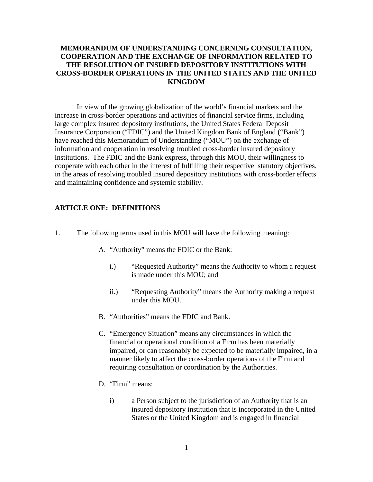### **MEMORANDUM OF UNDERSTANDING CONCERNING CONSULTATION, COOPERATION AND THE EXCHANGE OF INFORMATION RELATED TO THE RESOLUTION OF INSURED DEPOSITORY INSTITUTIONS WITH CROSS-BORDER OPERATIONS IN THE UNITED STATES AND THE UNITED KINGDOM**

In view of the growing globalization of the world's financial markets and the increase in cross-border operations and activities of financial service firms, including large complex insured depository institutions, the United States Federal Deposit Insurance Corporation ("FDIC") and the United Kingdom Bank of England ("Bank") have reached this Memorandum of Understanding ("MOU") on the exchange of information and cooperation in resolving troubled cross-border insured depository institutions. The FDIC and the Bank express, through this MOU, their willingness to cooperate with each other in the interest of fulfilling their respective statutory objectives, in the areas of resolving troubled insured depository institutions with cross-border effects and maintaining confidence and systemic stability.

## **ARTICLE ONE: DEFINITIONS**

- 1. The following terms used in this MOU will have the following meaning:
	- A. "Authority" means the FDIC or the Bank:
		- i.) "Requested Authority" means the Authority to whom a request is made under this MOU; and
		- ii.) "Requesting Authority" means the Authority making a request under this MOU.
	- B. "Authorities" means the FDIC and Bank.
	- C. "Emergency Situation" means any circumstances in which the financial or operational condition of a Firm has been materially impaired, or can reasonably be expected to be materially impaired, in a manner likely to affect the cross-border operations of the Firm and requiring consultation or coordination by the Authorities.
	- D. "Firm" means:
		- i) a Person subject to the jurisdiction of an Authority that is an insured depository institution that is incorporated in the United States or the United Kingdom and is engaged in financial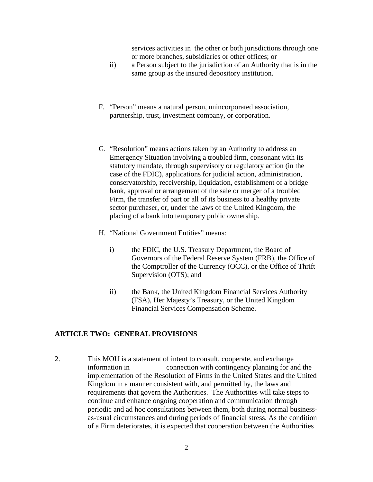services activities in the other or both jurisdictions through one or more branches, subsidiaries or other offices; or

- ii) a Person subject to the jurisdiction of an Authority that is in the same group as the insured depository institution.
- F. "Person" means a natural person, unincorporated association, partnership, trust, investment company, or corporation.
- G. "Resolution" means actions taken by an Authority to address an Emergency Situation involving a troubled firm, consonant with its statutory mandate, through supervisory or regulatory action (in the case of the FDIC), applications for judicial action, administration, conservatorship, receivership, liquidation, establishment of a bridge bank, approval or arrangement of the sale or merger of a troubled Firm, the transfer of part or all of its business to a healthy private sector purchaser, or, under the laws of the United Kingdom, the placing of a bank into temporary public ownership.
- H. "National Government Entities" means:
	- i) the FDIC, the U.S. Treasury Department, the Board of Governors of the Federal Reserve System (FRB), the Office of the Comptroller of the Currency (OCC), or the Office of Thrift Supervision (OTS); and
	- ii) the Bank, the United Kingdom Financial Services Authority (FSA), Her Majesty's Treasury, or the United Kingdom Financial Services Compensation Scheme.

#### **ARTICLE TWO: GENERAL PROVISIONS**

2. This MOU is a statement of intent to consult, cooperate, and exchange information in connection with contingency planning for and the implementation of the Resolution of Firms in the United States and the United Kingdom in a manner consistent with, and permitted by, the laws and requirements that govern the Authorities. The Authorities will take steps to continue and enhance ongoing cooperation and communication through periodic and ad hoc consultations between them, both during normal businessas-usual circumstances and during periods of financial stress. As the condition of a Firm deteriorates, it is expected that cooperation between the Authorities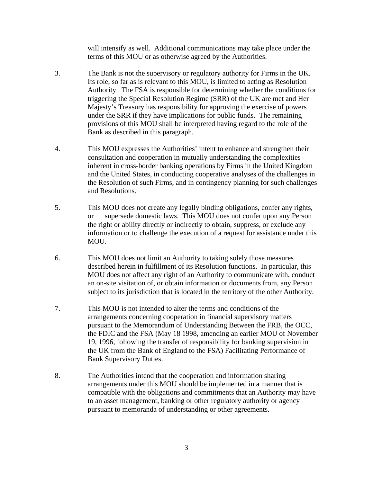will intensify as well. Additional communications may take place under the terms of this MOU or as otherwise agreed by the Authorities.

- 3. The Bank is not the supervisory or regulatory authority for Firms in the UK. Its role, so far as is relevant to this MOU, is limited to acting as Resolution Authority. The FSA is responsible for determining whether the conditions for triggering the Special Resolution Regime (SRR) of the UK are met and Her Majesty's Treasury has responsibility for approving the exercise of powers under the SRR if they have implications for public funds. The remaining provisions of this MOU shall be interpreted having regard to the role of the Bank as described in this paragraph.
- 4. This MOU expresses the Authorities' intent to enhance and strengthen their consultation and cooperation in mutually understanding the complexities inherent in cross-border banking operations by Firms in the United Kingdom and the United States, in conducting cooperative analyses of the challenges in the Resolution of such Firms, and in contingency planning for such challenges and Resolutions.
- 5. This MOU does not create any legally binding obligations, confer any rights, or supersede domestic laws. This MOU does not confer upon any Person the right or ability directly or indirectly to obtain, suppress, or exclude any information or to challenge the execution of a request for assistance under this MOU.
- 6. This MOU does not limit an Authority to taking solely those measures described herein in fulfillment of its Resolution functions. In particular, this MOU does not affect any right of an Authority to communicate with, conduct an on-site visitation of, or obtain information or documents from, any Person subject to its jurisdiction that is located in the territory of the other Authority.
- 7. This MOU is not intended to alter the terms and conditions of the arrangements concerning cooperation in financial supervisory matters pursuant to the Memorandum of Understanding Between the FRB, the OCC, the FDIC and the FSA (May 18 1998, amending an earlier MOU of November 19, 1996, following the transfer of responsibility for banking supervision in the UK from the Bank of England to the FSA) Facilitating Performance of Bank Supervisory Duties.
- 8. The Authorities intend that the cooperation and information sharing arrangements under this MOU should be implemented in a manner that is compatible with the obligations and commitments that an Authority may have to an asset management, banking or other regulatory authority or agency pursuant to memoranda of understanding or other agreements.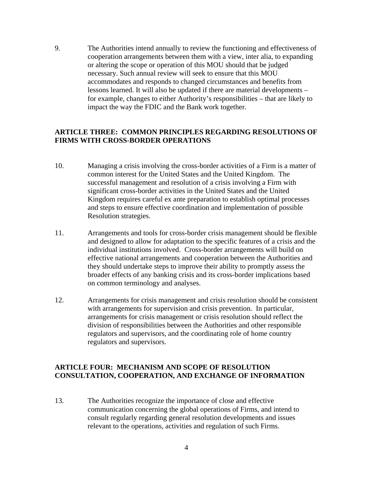9. The Authorities intend annually to review the functioning and effectiveness of cooperation arrangements between them with a view, inter alia, to expanding or altering the scope or operation of this MOU should that be judged necessary. Such annual review will seek to ensure that this MOU accommodates and responds to changed circumstances and benefits from lessons learned. It will also be updated if there are material developments – for example, changes to either Authority's responsibilities – that are likely to impact the way the FDIC and the Bank work together.

#### **ARTICLE THREE: COMMON PRINCIPLES REGARDING RESOLUTIONS OF FIRMS WITH CROSS-BORDER OPERATIONS**

- 10. Managing a crisis involving the cross-border activities of a Firm is a matter of common interest for the United States and the United Kingdom. The successful management and resolution of a crisis involving a Firm with significant cross-border activities in the United States and the United Kingdom requires careful ex ante preparation to establish optimal processes and steps to ensure effective coordination and implementation of possible Resolution strategies.
- 11. Arrangements and tools for cross-border crisis management should be flexible and designed to allow for adaptation to the specific features of a crisis and the individual institutions involved. Cross-border arrangements will build on effective national arrangements and cooperation between the Authorities and they should undertake steps to improve their ability to promptly assess the broader effects of any banking crisis and its cross-border implications based on common terminology and analyses.
- 12. Arrangements for crisis management and crisis resolution should be consistent with arrangements for supervision and crisis prevention. In particular, arrangements for crisis management or crisis resolution should reflect the division of responsibilities between the Authorities and other responsible regulators and supervisors, and the coordinating role of home country regulators and supervisors.

### **ARTICLE FOUR: MECHANISM AND SCOPE OF RESOLUTION CONSULTATION, COOPERATION, AND EXCHANGE OF INFORMATION**

13. The Authorities recognize the importance of close and effective communication concerning the global operations of Firms, and intend to consult regularly regarding general resolution developments and issues relevant to the operations, activities and regulation of such Firms.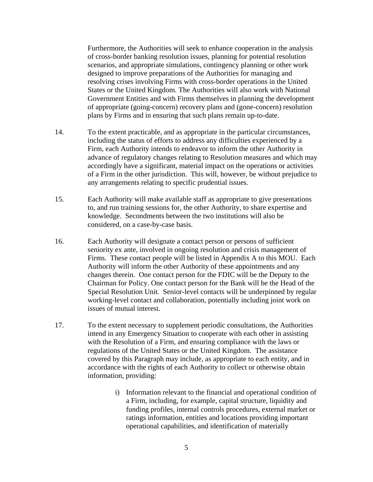Furthermore, the Authorities will seek to enhance cooperation in the analysis of cross-border banking resolution issues, planning for potential resolution scenarios, and appropriate simulations, contingency planning or other work designed to improve preparations of the Authorities for managing and resolving crises involving Firms with cross-border operations in the United States or the United Kingdom. The Authorities will also work with National Government Entities and with Firms themselves in planning the development of appropriate (going-concern) recovery plans and (gone-concern) resolution plans by Firms and in ensuring that such plans remain up-to-date.

- 14. To the extent practicable, and as appropriate in the particular circumstances, including the status of efforts to address any difficulties experienced by a Firm, each Authority intends to endeavor to inform the other Authority in advance of regulatory changes relating to Resolution measures and which may accordingly have a significant, material impact on the operations or activities of a Firm in the other jurisdiction. This will, however, be without prejudice to any arrangements relating to specific prudential issues.
- 15. Each Authority will make available staff as appropriate to give presentations to, and run training sessions for, the other Authority, to share expertise and knowledge. Secondments between the two institutions will also be considered, on a case-by-case basis.
- 16. Each Authority will designate a contact person or persons of sufficient seniority ex ante, involved in ongoing resolution and crisis management of Firms. These contact people will be listed in Appendix A to this MOU. Each Authority will inform the other Authority of these appointments and any changes therein. One contact person for the FDIC will be the Deputy to the Chairman for Policy. One contact person for the Bank will be the Head of the Special Resolution Unit. Senior-level contacts will be underpinned by regular working-level contact and collaboration, potentially including joint work on issues of mutual interest.
- 17. To the extent necessary to supplement periodic consultations, the Authorities intend in any Emergency Situation to cooperate with each other in assisting with the Resolution of a Firm, and ensuring compliance with the laws or regulations of the United States or the United Kingdom. The assistance covered by this Paragraph may include, as appropriate to each entity, and in accordance with the rights of each Authority to collect or otherwise obtain information, providing:
	- i) Information relevant to the financial and operational condition of a Firm, including, for example, capital structure, liquidity and funding profiles, internal controls procedures, external market or ratings information, entities and locations providing important operational capabilities, and identification of materially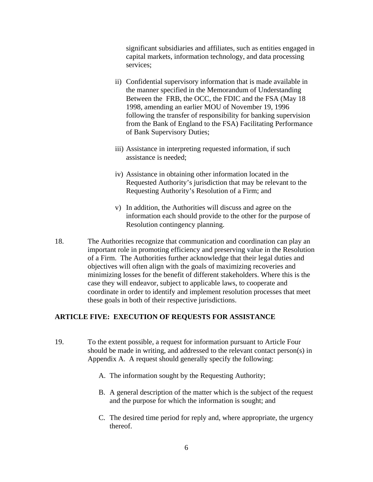significant subsidiaries and affiliates, such as entities engaged in capital markets, information technology, and data processing services;

- ii) Confidential supervisory information that is made available in the manner specified in the Memorandum of Understanding Between the FRB, the OCC, the FDIC and the FSA (May 18 1998, amending an earlier MOU of November 19, 1996 following the transfer of responsibility for banking supervision from the Bank of England to the FSA) Facilitating Performance of Bank Supervisory Duties;
- iii) Assistance in interpreting requested information, if such assistance is needed;
- iv) Assistance in obtaining other information located in the Requested Authority's jurisdiction that may be relevant to the Requesting Authority's Resolution of a Firm; and
- v) In addition, the Authorities will discuss and agree on the information each should provide to the other for the purpose of Resolution contingency planning.
- 18. The Authorities recognize that communication and coordination can play an important role in promoting efficiency and preserving value in the Resolution of a Firm. The Authorities further acknowledge that their legal duties and objectives will often align with the goals of maximizing recoveries and minimizing losses for the benefit of different stakeholders. Where this is the case they will endeavor, subject to applicable laws, to cooperate and coordinate in order to identify and implement resolution processes that meet these goals in both of their respective jurisdictions.

#### **ARTICLE FIVE: EXECUTION OF REQUESTS FOR ASSISTANCE**

- 19. To the extent possible, a request for information pursuant to Article Four should be made in writing, and addressed to the relevant contact person(s) in Appendix A. A request should generally specify the following:
	- A. The information sought by the Requesting Authority;
	- B. A general description of the matter which is the subject of the request and the purpose for which the information is sought; and
	- C. The desired time period for reply and, where appropriate, the urgency thereof.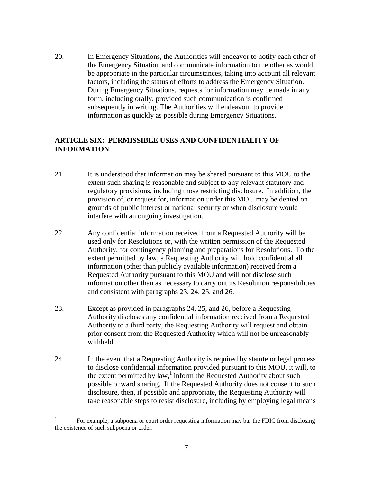20. In Emergency Situations, the Authorities will endeavor to notify each other of the Emergency Situation and communicate information to the other as would be appropriate in the particular circumstances, taking into account all relevant factors, including the status of efforts to address the Emergency Situation. During Emergency Situations, requests for information may be made in any form, including orally, provided such communication is confirmed subsequently in writing. The Authorities will endeavour to provide information as quickly as possible during Emergency Situations.

# **ARTICLE SIX: PERMISSIBLE USES AND CONFIDENTIALITY OF INFORMATION**

- 21. It is understood that information may be shared pursuant to this MOU to the extent such sharing is reasonable and subject to any relevant statutory and regulatory provisions, including those restricting disclosure. In addition, the provision of, or request for, information under this MOU may be denied on grounds of public interest or national security or when disclosure would interfere with an ongoing investigation.
- 22. Any confidential information received from a Requested Authority will be used only for Resolutions or, with the written permission of the Requested Authority, for contingency planning and preparations for Resolutions. To the extent permitted by law, a Requesting Authority will hold confidential all information (other than publicly available information) received from a Requested Authority pursuant to this MOU and will not disclose such information other than as necessary to carry out its Resolution responsibilities and consistent with paragraphs 23, 24, 25, and 26.
- 23. Except as provided in paragraphs 24, 25, and 26, before a Requesting Authority discloses any confidential information received from a Requested Authority to a third party, the Requesting Authority will request and obtain prior consent from the Requested Authority which will not be unreasonably withheld.
- 24. In the event that a Requesting Authority is required by statute or legal process to disclose confidential information provided pursuant to this MOU, it will, to the extent permitted by  $law$ ,<sup>1</sup> inform the Requested Authority about such possible onward sharing. If the Requested Authority does not consent to such disclosure, then, if possible and appropriate, the Requesting Authority will take reasonable steps to resist disclosure, including by employing legal means

 $\frac{1}{1}$  For example, a subpoena or court order requesting information may bar the FDIC from disclosing the existence of such subpoena or order.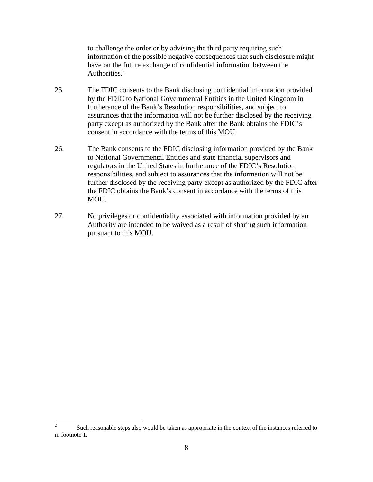to challenge the order or by advising the third party requiring such information of the possible negative consequences that such disclosure might have on the future exchange of confidential information between the Authorities.<sup>2</sup>

- 25. The FDIC consents to the Bank disclosing confidential information provided by the FDIC to National Governmental Entities in the United Kingdom in furtherance of the Bank's Resolution responsibilities, and subject to assurances that the information will not be further disclosed by the receiving party except as authorized by the Bank after the Bank obtains the FDIC's consent in accordance with the terms of this MOU.
- 26. The Bank consents to the FDIC disclosing information provided by the Bank to National Governmental Entities and state financial supervisors and regulators in the United States in furtherance of the FDIC's Resolution responsibilities, and subject to assurances that the information will not be further disclosed by the receiving party except as authorized by the FDIC after the FDIC obtains the Bank's consent in accordance with the terms of this MOU.
- 27. No privileges or confidentiality associated with information provided by an Authority are intended to be waived as a result of sharing such information pursuant to this MOU.

 $\frac{1}{2}$  Such reasonable steps also would be taken as appropriate in the context of the instances referred to in footnote 1.